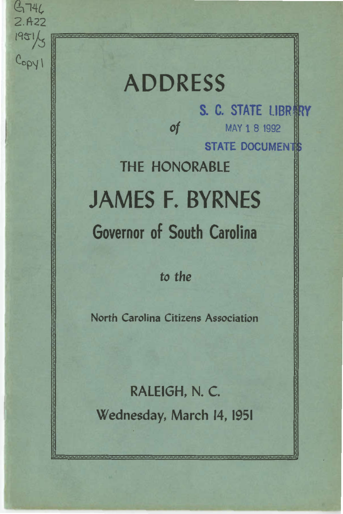ADDRESS S. C. STATE LIBRERY of MAY 1 8 <sup>1992</sup> STATE DOCUMENTS THE HONORABLE JAMES F. BYRNES Governor of South Carolina

<sup>I</sup>*q y'j* f .................................................................................................................................................................................... !

 $6746$  $2.A22$ 

 $C_{\text{opyl}}$ 

*to the* 

North Carolina Citizens Association

l and the second state of the second state of the second state of the second state of

RALEIGH, N. C. Wednesday, March 14, 1951

I I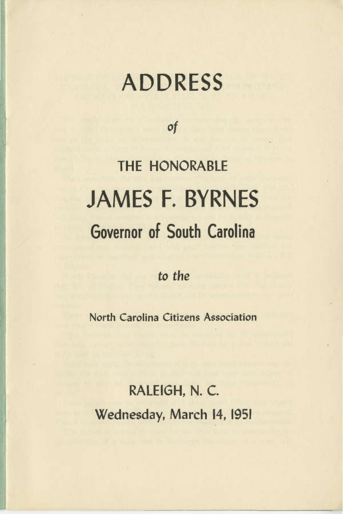## ADDRESS

of

## THE HONORABLE JAMES F. BYRNES Governor of South Carolina

*to* the

North Carolina Citizens Association

RALEIGH, N. C. Wednesday, March 14, 1951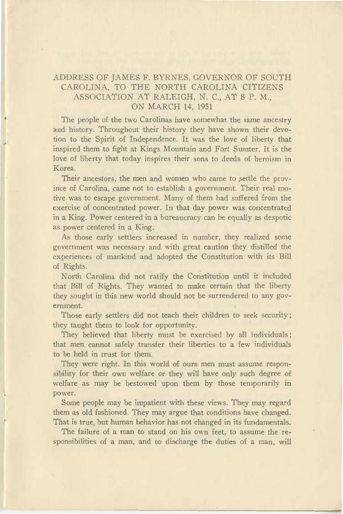## ADDRESS OF JAMES F. BYRNES, GOVERNOR OF SOUTH CAROLINA, TO THE NORTH CAROLINA CITIZENS ASSOCIATION AT RALEIGH, N. C., AT 8 P. M., ON MARCH 14, 1951

The people of the two Carolinas have somewhat the same ancestry and history. Throughout their history they have shown their devotion to the Spirit of Independence. It was the love of liberty that inspired them to fight at Kings Mountain and Fort Sumter. It is the love of liberty that today inspires their sons to deeds of heroism in Korea.

Their ancestors, the men and women who came to settle the province of Carolina, came not to establish a government. Their real motive was to escape government. Many of them had suffered from the exercise of concentrated power. In that day power was concentrated in a King. Power centered in a bureaucracy can be equally as despotic as power centered in a King.

As those early settlers increased in number, they realized some government was necessary and with great caution they distilled the experiences of mankind and adopted the Constitution with its Bill of Rights.

North Carolina did not ratify the Constitution until it included that Bill of Rights. They wanted to make certain that the liberty they sought in this new world should not be surrendered to any government.

Those early settlers did not teach their children to seek security; they taught them to look for opportunity.

They believed that liberty must be exercised by all individuals; that men cannot safely transfer their liberties to a few individuals to be held in trust for them.

They were right. In this world of ours men must assume responsibility for their own welfare or they will have only such degree of welfare as may be bestowed upon them by those temporarily in power.

Some people may be impatient with these views. They may regard them as old fashioned. They may argue that conditions have changed. That is true, but human behavior has not changed in its fundamentals.

The failure of a man to stand on his own feet, to assume the responsibilities of a man, and to discharge the duties of a man, will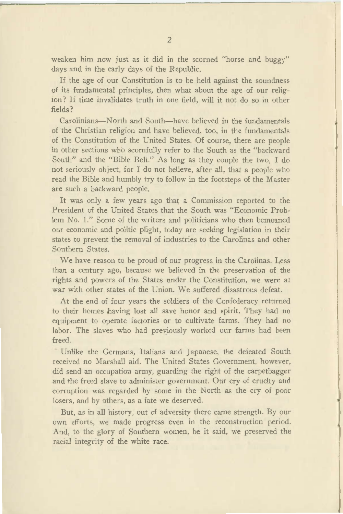weaken him now just as it did in the scorned "horse and buggy" days and in the early days of the Republic.

If the age of our Constitution is to be held against the soundness of its fundamental principles, then what about the age of our religion? If time invalidates truth in one field, will it not do so in other fields?

Carolinians-North and South-have believed in the fundamentals of the Christian religion and have believed, too, in the fundamentals of the Constitution of the United States. Of course, there are people in other sections who scornfully refer to the South as the "backward South" and the "Bible Belt." As long as they couple the two, I do not seriously object, for I do not believe, after all, that a people who read the Bible and humbly try to follow in the footsteps of the Master are such a backward people.

It was only a few years ago that a Commission reported to the President of the United States that the South was "Economic Problem No. 1." Some of the writers and politicians who then bemoaned our economic and politic plight, today are seeking legislation in their states to prevent the removal of industries to the Carolinas and other Southern States.

We have reason to be proud of our progress in the Carolinas. Less than a century ago, because we believed in the preservation of the rights and powers of the States under the Constitution, we were at war with other states of the Union. We suffered disastrous defeat.

At the end of four years the soldiers of the Confederacy returned to their homes having lost all save honor and spirit. They had no equipment to operate factories or to cultivate farms. They had no labor. The slaves who had previously worked our farms had been freed.

Unlike the Germans, Italians and Japanese, the defeated South received no Marshall aid. The United States Government, however, did send an occupation army, guarding the right of the carpetbagger and the freed slave to administer government. Our cry of cruelty and corruption \\'as regarded by some in the North as the cry of poor losers, and by others, as a fate we deserved.

But, as in all history, out of adversity there came strength. By our own efforts, we made progress even in the reconstruction period. And, to the glory of Southern women, be it said, we preserved the racial integrity of the white race.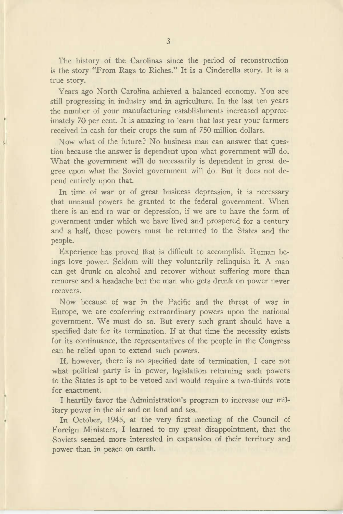The history of the Carolinas since the period of reconstruction is the story "From Rags to Riches." It is a Cinderella story. It is a true story.

Years ago North Carolina achieved a balanced economy. You are still progressing in industry and in agriculture. In the last ten years the number of your manufacturing establishments increased approximately 70 per cent. It is amazing to learn that last year your farmers received in cash for their crops the sum of 750 million dollars.

Now what of the future? No business man can answer that question because the answer is dependent upon what government will do. What the government will do necessarily is dependent in great degree upon what the Soviet government will do. But it does not depend entirely upon that.

In time of war or of great business depression, it is necessary that unusual powers be granted to the federal government. When there is an end to war or depression, if we are to have the form of government under which we have lived and prospered for a century and a half, those powers must be returned to the States and the people.

Experience has proved that is difficult to accomplish. Human beings love power. Seldom will they voluntarily relinquish it. A man can get drunk on alcohol and recover without suffering more than remorse and a headache but the man who gets drunk on power never recovers.

Now because of war in the Pacific and the threat of war in Europe, we are conferring extraordinary powers upon the national government. We must do so. But every such grant should have a specified date for its termination. If at that time the necessity exists for its continuance, the representatives of the people in the Congress can be relied upon to extend such powers.

If, however, there is no specified date of termination, I care not what political party is in power, legislation returning such powers to the States is apt to be vetoed and would require a two-thirds vote for enactment.

I heartily favor the Administration's program to increase our military power in the air and on land and sea.

In October, 1945, at the very first meeting of the Council of Foreign Ministers, I learned to my great disappointment, that the Soviets seemed more interested in expansion of their territory and power than in peace on earth.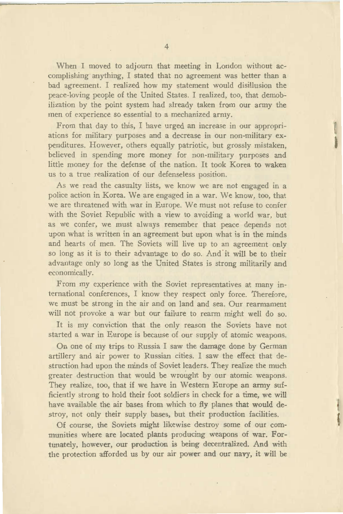When I moved to adjourn that meeting in London without accomplishing anything, I stated that no agreement was better than a bad agreement. I realized how my statement would disillusion the peace-loving people of the United States. I realized, too, that demobilization by the point system had already taken from our army the men of experience so essential to a mechanized army.

From that day to this, I have urged an increase in our appropriations for military purposes and a decrease in our non-military expenditures. However, others equally patriotic, but grossly mistaken, believed in spending more money for non-military purposes and little money for the defense of the nation. It took Korea to waken us to a true realization of our defenseless position.

t

f

As we read the casualty lists, we know we are not engaged in a police action in Korea. We are engaged in a war. We know, too, that we are threatened with war in Europe. We must not refuse to confer with the Soviet Republic with a view to avoiding a world war, but as we confer, we must always remember that peace depends not upon what is written in an agreement but upon what is in the minds and hearts of men. The Soviets will live up to an agreement only so long as it is to their advantage to do so. And it will be to their advantage only so long as the United States is strong militarily and economically.

From my experience with the Soviet representatives at many international conferences, I know they respect only force. Therefore, we must be strong in the air and on land and sea. Our rearmament will not provoke a war but our failure to rearm might well do so.

It is my conviction that the only reason the Soviets have not started a war in Europe is because of our supply of atomic weapons.

On one of my trips to Russia I saw the damage done by German artillery and air power to Russian cities. I saw the effect that destruction had upon the minds of Soviet leaders. They realize the much greater destruction that would be wrought by our atomic weapons. They realize, too, that if we have in Western Europe an army sufficiently strong to hold their foot soldiers in check for a time, we will have available the air bases from which to fly planes that would destroy, not only their supply bases, but their production facilities.

Of course, the Soviets might likewise destroy some of our communities where are located plants producing weapons of war. Fortunately, however, our production is being decentralized. And with the protection afforded us by our air power and our navy, it will be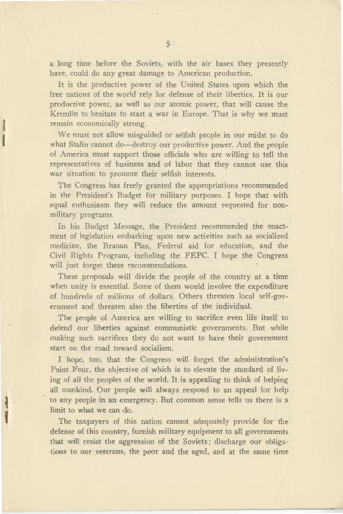a long time before the Soviets, with the air bases they presently have, could do any great damage to American production.

It is the productive power of the United States upon which the free nations of the world rely for defense of their liberties. It is our productive power, as well as our atomic power, that will cause the Kremlin to hesitate to start a war in Europe. That is why we must remain economically strong.

l

 $\mathbf{I}$ 

,,

We must not allow misguided or selfish people in our midst to do what Stalin cannot do-destroy our productive power. And the people of America must support those officials who are willing to tell the representatives of business and of labor that they cannot use this war situation to promote their selfish interests.

The Congress has freely granted the appropriations recommended in the President's Budget for military purposes. I hope that with equal enthusiasm they will reduce the amount requested for nonmilitary programs.

In his Budget Message, the President recommended the enactment of legislation embarking upon new activities such as socialized medicine, the Branan Plan, Federal aid for education, and the Civil Rights Program, including the FEPC. I hope the Congress will just forget these recommendations.

These proposals will divide the people of the country at a time when unity is essential. Some of them would involve the expenditure of hundreds of millions of dollars. Others threaten local self-government and threaten also the liberties of the individual.

The people of America are willing to sacrifice even life itself to defend our liberties against communistic governments. But while making such sacrifices they do not want to have their government start on the road toward socialism.

I hope. too. that the Congress will forget the administration's Point Four. the objective of which is to elevate the standard of living of all the peoples of the world. It is appealing to think of helping all mankind. Our people will always respond to an appeal for help to any people in an emergency. But common sense tells us there is a limit to what we can do.

The taxpayers of this nation cannot adequately provide for the defense of this country, furnish military equipment to all governments that will resist the aggression of the Soviets; discharge our obligations to our veterans, the poor and the aged, and at the same time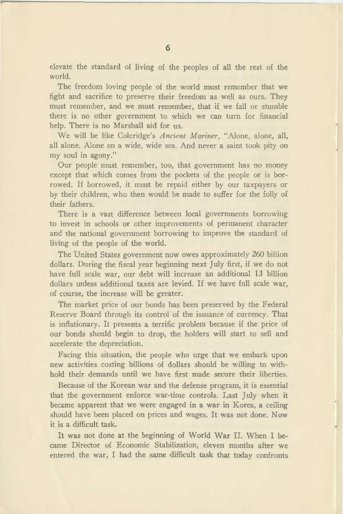elevate the standard of living of the peoples of all the rest of the world.

The freedom loving people of the world must remember that we fight and sacrifice to preserve their freedom as well as ours. They must remember, and we must remember, that if we fall or stumble there is no other government to which we can turn for financial help. There is no Marshall aid for us.

We will be like Coleridge's *Ancient Mariner,* "Alone, alone, all, all alone. Alone on a wide, wide sea. And never a saint took pity on my soul in agony."

Our people must remember, too, that government has no money except that which comes from the pockets of the people or is borrowed. If borrowed, it must be repaid either by our taxpayers or by their children, who then would be made to suffer for the folly of their fathers.

There is a vast difference between local governments borrowing to invest in schools or other improvements of permanent character and the national government borrowing to improve the standard of living of the people of the world.

The United States government now owes approximately 260 billion dollars. During the fiscal year beginning next July first, if we do not have full scale war, our debt will increase an additional 13 billion dollars unless additional taxes are levied. If we have full scale war, of course, the increase will be greater.

The market price of our bonds has been preserved by the Federal Reserve Board through its control of the issuance of currency. That is inflationary. It presents a terrific problem because if the price of our bonds should begin to drop, the holders will start to sell and accelerate the depreciation.

Facing this situation, the people who urge that we embark upon new activities costing billions of dollars should be willing to withhold their demands until we have first made secure their liberties.

Because of the Korean war and the defense program, it is essential that the government enforce war-time controls. Last July when it became apparent that we were engaged in a war in Korea, a ceiling should have been placed on prices and wages. It was not done. Now it is a difficult task.

It was not done at the beginning of World War II. When I became Director of Economic Stabilization, eleven months after we entered the war, I had the same difficult task that today confronts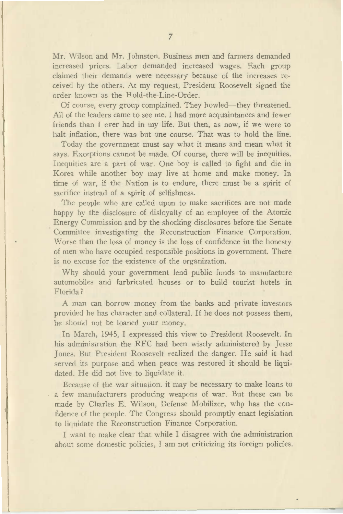Mr. Wilson and Mr. Johnston. Business men and farmers demanded increased prices. Labor demanded increased wages. Each group claimed their demands were necessary because of the increases received by the others. At my request, President Roosevelt signed the order known as the Hold-the-Line-Order.

Of course, every group complained. They howled-they threatened. All of the leaders came to see me. I had more acquaintances and fewer friends than I ever had in my life. But then, as now, if we were to halt inflation, there was but one course. That was to hold the line.

Today the government must say what it means and mean what it says. Exceptions cannot be made. Of course, there will be inequities. Inequities are a part of war. One boy is called to fight and die in Korea while another boy may live at home and make money. In time of war, if the Nation is to endure, there must be a spirit of sacrifice instead of a spirit of selfishness.

The people who are called upon to make sacrifices are not made happy by the disclosure of disloyalty of an employee of the Atomic Energy Commission and by the shocking disclosures before the Senate Committee investigating the Reconstruction Finance Corporation. Worse than the loss of money is the loss of confidence in the honesty of men who have occupied responsible positions in government. There is no excuse for the existence of the organization.

Why should your government lend public funds to manufacture automobiles and farbricated houses or to build tourist hotels in Florida?

A man can borrow money from the banks and private investors provided he has character and collateral. If he does not possess them, he should not be loaned your money.

In March, 1945, I expressed this view to President Roosevelt. In his administration the RFC had been wisely administered by Jesse Jones. But President Roosevelt realized the danger. He said it had served its purpose and when peace was restored it should be liquidated. He did not live to liquidate it.

Because of the war situation. it may be necessary to make loans to a few manufacturers producing weapons of war. But these can be made by Charles E. Wilson, Defense Mobilizer, who has the confidence of the people. The Congress should promptly enact legislation to liquidate the Reconstruction Finance Corporation.

I want to make clear that while I disagree with the administration about some domestic policies, I am not criticizing its foreign policies.